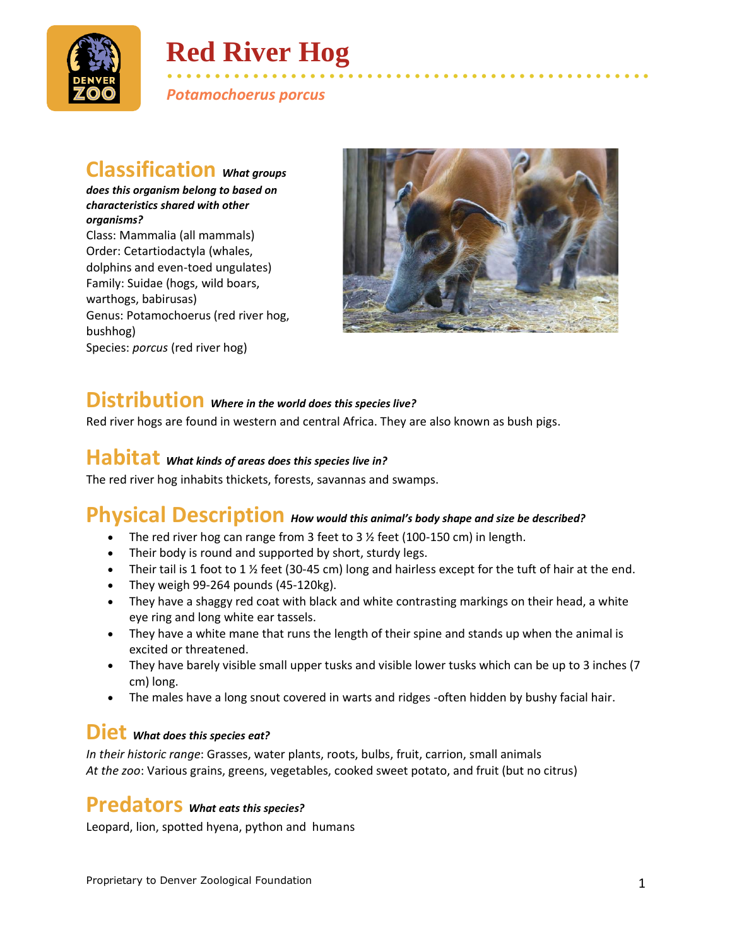

# **Red River Hog**

• • • • • • • • • • • • • • • • • • • • • • • • • • • • • • • • • • • • • • • • • • • • • • • • • • • *Potamochoerus porcus*

## **Classification** *What groups*

*does this organism belong to based on characteristics shared with other organisms?* Class: Mammalia (all mammals) Order: Cetartiodactyla (whales, dolphins and even-toed ungulates) Family: Suidae (hogs, wild boars, warthogs, babirusas) Genus: Potamochoerus (red river hog, bushhog) Species: *porcus* (red river hog)



## **Distribution** *Where in the world does this species live?*

Red river hogs are found in western and central Africa. They are also known as bush pigs.

### **Habitat** *What kinds of areas does this species live in?*

The red river hog inhabits thickets, forests, savannas and swamps.

## **Physical Description** *How would this animal's body shape and size be described?*

- The red river hog can range from 3 feet to 3  $\frac{1}{2}$  feet (100-150 cm) in length.
- Their body is round and supported by short, sturdy legs.
- Their tail is 1 foot to 1 % feet (30-45 cm) long and hairless except for the tuft of hair at the end.
- They weigh 99-264 pounds (45-120kg).
- They have a shaggy red coat with black and white contrasting markings on their head, a white eye ring and long white ear tassels.
- They have a white mane that runs the length of their spine and stands up when the animal is excited or threatened.
- They have barely visible small upper tusks and visible lower tusks which can be up to 3 inches (7) cm) long.
- The males have a long snout covered in warts and ridges -often hidden by bushy facial hair.

#### **Diet** *What does this species eat?*

*In their historic range*: Grasses, water plants, roots, bulbs, fruit, carrion, small animals *At the zoo*: Various grains, greens, vegetables, cooked sweet potato, and fruit (but no citrus)

## **Predators** *What eats this species?*

Leopard, lion, spotted hyena, python and humans